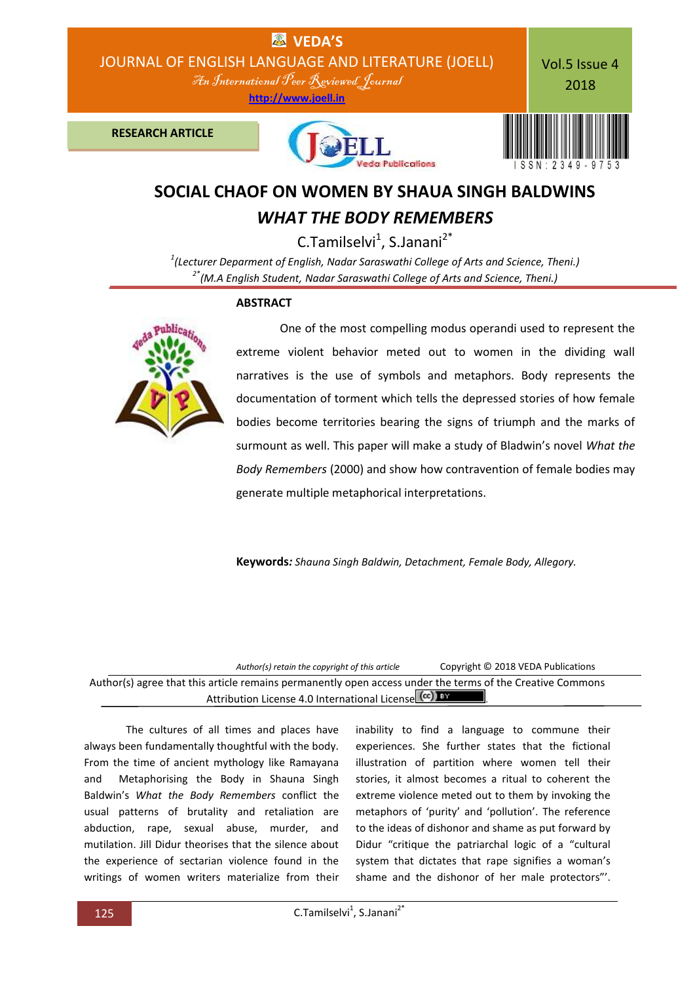

## **SOCIAL CHAOF ON WOMEN BY SHAUA SINGH BALDWINS** *WHAT THE BODY REMEMBERS*

 $C$ .Tamilselvi<sup>1</sup>, S.Janani<sup>2\*</sup> *1 (Lecturer Deparment of English, Nadar Saraswathi College of Arts and Science, Theni.) 2\*(M.A English Student, Nadar Saraswathi College of Arts and Science, Theni.)*

## **ABSTRACT**



 One of the most compelling modus operandi used to represent the extreme violent behavior meted out to women in the dividing wall narratives is the use of symbols and metaphors. Body represents the documentation of torment which tells the depressed stories of how female bodies become territories bearing the signs of triumph and the marks of surmount as well. This paper will make a study of Bladwin's novel *What the Body Remembers* (2000) and show how contravention of female bodies may generate multiple metaphorical interpretations.

**Keywords***: Shauna Singh Baldwin, Detachment, Female Body, Allegory.*

| Author(s) retain the copyright of this article                                                                                                                     | Copyright © 2018 VEDA Publications |
|--------------------------------------------------------------------------------------------------------------------------------------------------------------------|------------------------------------|
| Author(s) agree that this article remains permanently open access under the terms of the Creative Commons<br>Attribution License 4.0 International License (CC) BY |                                    |
|                                                                                                                                                                    |                                    |

The cultures of all times and places have always been fundamentally thoughtful with the body. From the time of ancient mythology like Ramayana and Metaphorising the Body in Shauna Singh Baldwin's *What the Body Remembers* conflict the usual patterns of brutality and retaliation are abduction, rape, sexual abuse, murder, and mutilation. Jill Didur theorises that the silence about the experience of sectarian violence found in the writings of women writers materialize from their

inability to find a language to commune their experiences. She further states that the fictional illustration of partition where women tell their stories, it almost becomes a ritual to coherent the extreme violence meted out to them by invoking the metaphors of 'purity' and 'pollution'. The reference to the ideas of dishonor and shame as put forward by Didur "critique the patriarchal logic of a "cultural system that dictates that rape signifies a woman's shame and the dishonor of her male protectors"'.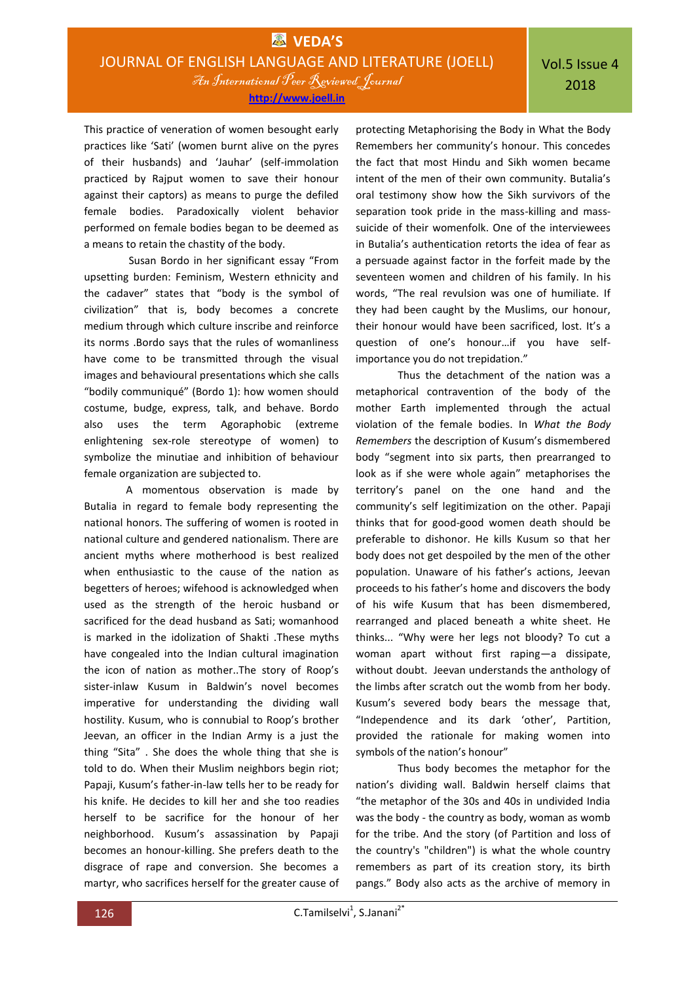**http://www.joell.in**

This practice of veneration of women besought early practices like 'Sati' (women burnt alive on the pyres of their husbands) and 'Jauhar' (self-immolation practiced by Rajput women to save their honour against their captors) as means to purge the defiled female bodies. Paradoxically violent behavior performed on female bodies began to be deemed as

a means to retain the chastity of the body. Susan Bordo in her significant essay "From upsetting burden: Feminism, Western ethnicity and the cadaver" states that "body is the symbol of civilization" that is, body becomes a concrete medium through which culture inscribe and reinforce its norms .Bordo says that the rules of womanliness have come to be transmitted through the visual images and behavioural presentations which she calls "bodily communiqué" (Bordo 1): how women should costume, budge, express, talk, and behave. Bordo also uses the term Agoraphobic (extreme enlightening sex-role stereotype of women) to symbolize the minutiae and inhibition of behaviour female organization are subjected to.

A momentous observation is made by Butalia in regard to female body representing the national honors. The suffering of women is rooted in national culture and gendered nationalism. There are ancient myths where motherhood is best realized when enthusiastic to the cause of the nation as begetters of heroes; wifehood is acknowledged when used as the strength of the heroic husband or sacrificed for the dead husband as Sati; womanhood is marked in the idolization of Shakti .These myths have congealed into the Indian cultural imagination the icon of nation as mother..The story of Roop's sister-inlaw Kusum in Baldwin's novel becomes imperative for understanding the dividing wall hostility. Kusum, who is connubial to Roop's brother Jeevan, an officer in the Indian Army is a just the thing "Sita" . She does the whole thing that she is told to do. When their Muslim neighbors begin riot; Papaji, Kusum's father-in-law tells her to be ready for his knife. He decides to kill her and she too readies herself to be sacrifice for the honour of her neighborhood. Kusum's assassination by Papaji becomes an honour-killing. She prefers death to the disgrace of rape and conversion. She becomes a martyr, who sacrifices herself for the greater cause of

protecting Metaphorising the Body in What the Body Remembers her community's honour. This concedes the fact that most Hindu and Sikh women became intent of the men of their own community. Butalia's oral testimony show how the Sikh survivors of the separation took pride in the mass-killing and masssuicide of their womenfolk. One of the interviewees in Butalia's authentication retorts the idea of fear as a persuade against factor in the forfeit made by the seventeen women and children of his family. In his words, "The real revulsion was one of humiliate. If they had been caught by the Muslims, our honour, their honour would have been sacrificed, lost. It's a question of one's honour…if you have selfimportance you do not trepidation."

Thus the detachment of the nation was a metaphorical contravention of the body of the mother Earth implemented through the actual violation of the female bodies. In *What the Body Remembers* the description of Kusum's dismembered body "segment into six parts, then prearranged to look as if she were whole again" metaphorises the territory's panel on the one hand and the community's self legitimization on the other. Papaji thinks that for good-good women death should be preferable to dishonor. He kills Kusum so that her body does not get despoiled by the men of the other population. Unaware of his father's actions, Jeevan proceeds to his father's home and discovers the body of his wife Kusum that has been dismembered, rearranged and placed beneath a white sheet. He thinks... "Why were her legs not bloody? To cut a woman apart without first raping—a dissipate, without doubt. Jeevan understands the anthology of the limbs after scratch out the womb from her body. Kusum's severed body bears the message that, "Independence and its dark 'other', Partition, provided the rationale for making women into symbols of the nation's honour"

Thus body becomes the metaphor for the nation's dividing wall. Baldwin herself claims that "the metaphor of the 30s and 40s in undivided India was the body - the country as body, woman as womb for the tribe. And the story (of Partition and loss of the country's "children") is what the whole country remembers as part of its creation story, its birth pangs." Body also acts as the archive of memory in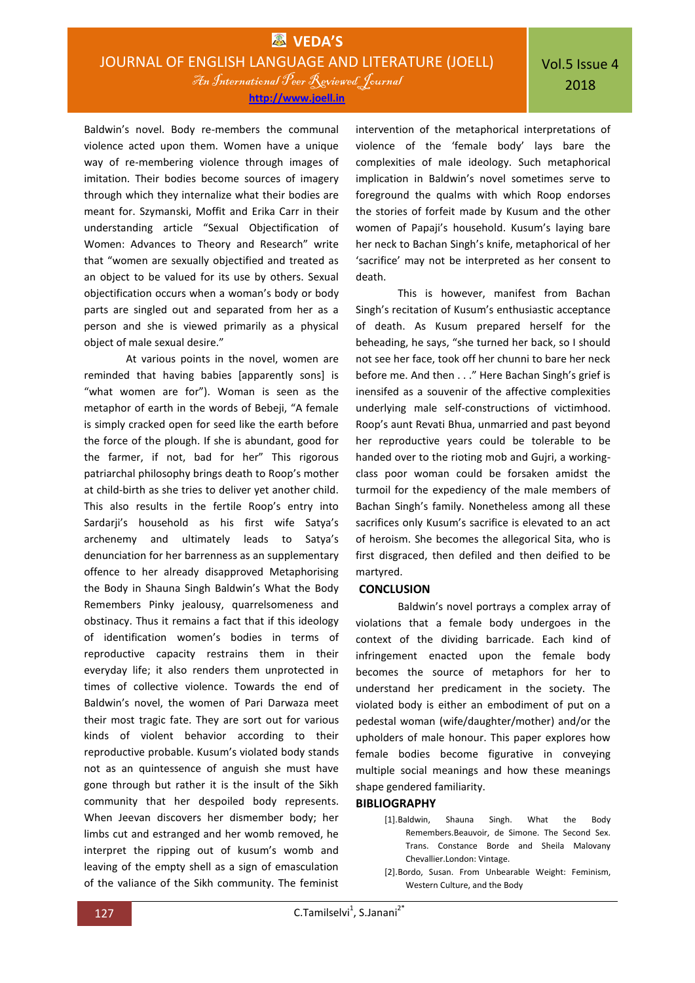Baldwin's novel. Body re-members the communal violence acted upon them. Women have a unique way of re-membering violence through images of imitation. Their bodies become sources of imagery through which they internalize what their bodies are meant for. Szymanski, Moffit and Erika Carr in their understanding article "Sexual Objectification of Women: Advances to Theory and Research" write that "women are sexually objectified and treated as an object to be valued for its use by others. Sexual objectification occurs when a woman's body or body parts are singled out and separated from her as a person and she is viewed primarily as a physical object of male sexual desire."

At various points in the novel, women are reminded that having babies [apparently sons] is "what women are for"). Woman is seen as the metaphor of earth in the words of Bebeji, "A female is simply cracked open for seed like the earth before the force of the plough. If she is abundant, good for the farmer, if not, bad for her" This rigorous patriarchal philosophy brings death to Roop's mother at child-birth as she tries to deliver yet another child. This also results in the fertile Roop's entry into Sardarji's household as his first wife Satya's archenemy and ultimately leads to Satya's denunciation for her barrenness as an supplementary offence to her already disapproved Metaphorising the Body in Shauna Singh Baldwin's What the Body Remembers Pinky jealousy, quarrelsomeness and obstinacy. Thus it remains a fact that if this ideology of identification women's bodies in terms of reproductive capacity restrains them in their everyday life; it also renders them unprotected in times of collective violence. Towards the end of Baldwin's novel, the women of Pari Darwaza meet their most tragic fate. They are sort out for various kinds of violent behavior according to their reproductive probable. Kusum's violated body stands not as an quintessence of anguish she must have gone through but rather it is the insult of the Sikh community that her despoiled body represents. When Jeevan discovers her dismember body; her limbs cut and estranged and her womb removed, he interpret the ripping out of kusum's womb and leaving of the empty shell as a sign of emasculation of the valiance of the Sikh community. The feminist

intervention of the metaphorical interpretations of violence of the 'female body' lays bare the complexities of male ideology. Such metaphorical implication in Baldwin's novel sometimes serve to foreground the qualms with which Roop endorses the stories of forfeit made by Kusum and the other women of Papaji's household. Kusum's laying bare her neck to Bachan Singh's knife, metaphorical of her 'sacrifice' may not be interpreted as her consent to death.

This is however, manifest from Bachan Singh's recitation of Kusum's enthusiastic acceptance of death. As Kusum prepared herself for the beheading, he says, "she turned her back, so I should not see her face, took off her chunni to bare her neck before me. And then . . ." Here Bachan Singh's grief is inensifed as a souvenir of the affective complexities underlying male self-constructions of victimhood. Roop's aunt Revati Bhua, unmarried and past beyond her reproductive years could be tolerable to be handed over to the rioting mob and Gujri, a workingclass poor woman could be forsaken amidst the turmoil for the expediency of the male members of Bachan Singh's family. Nonetheless among all these sacrifices only Kusum's sacrifice is elevated to an act of heroism. She becomes the allegorical Sita, who is first disgraced, then defiled and then deified to be martyred.

## **CONCLUSION**

Baldwin's novel portrays a complex array of violations that a female body undergoes in the context of the dividing barricade. Each kind of infringement enacted upon the female body becomes the source of metaphors for her to understand her predicament in the society. The violated body is either an embodiment of put on a pedestal woman (wife/daughter/mother) and/or the upholders of male honour. This paper explores how female bodies become figurative in conveying multiple social meanings and how these meanings shape gendered familiarity.

## **BIBLIOGRAPHY**

- [1].Baldwin, Shauna Singh. What the Body Remembers.Beauvoir, de Simone. The Second Sex. Trans. Constance Borde and Sheila Malovany Chevallier.London: Vintage.
- [2].Bordo, Susan. From Unbearable Weight: Feminism, Western Culture, and the Body